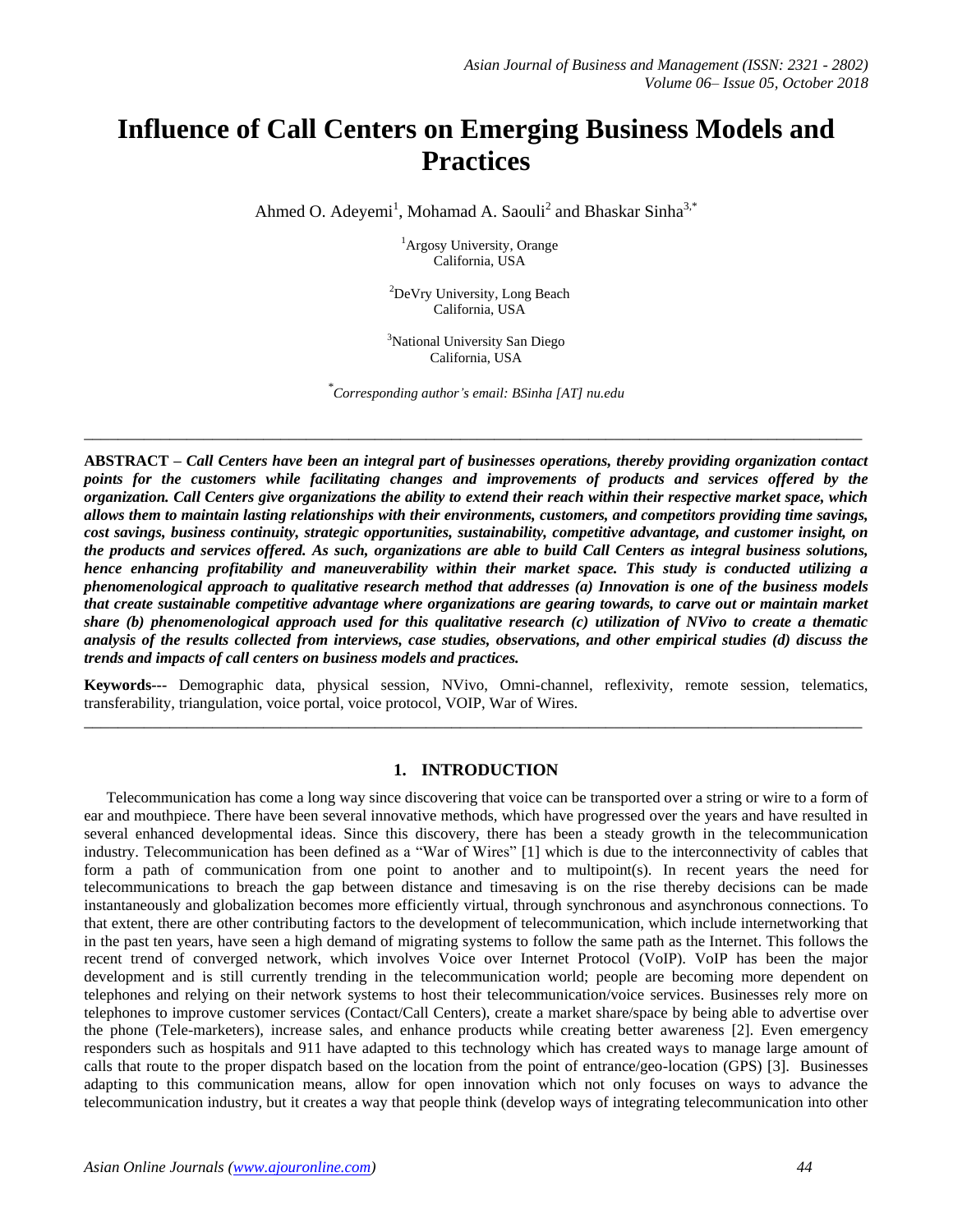# **Influence of Call Centers on Emerging Business Models and Practices**

Ahmed O. Adeyemi<sup>1</sup>, Mohamad A. Saouli<sup>2</sup> and Bhaskar Sinha<sup>3,\*</sup>

<sup>1</sup>Argosy University, Orange California, USA

<sup>2</sup>DeVry University, Long Beach California, USA

<sup>3</sup>National University San Diego California, USA

*\* Corresponding author's email: BSinha [\[AT\] nu.edu](mailto:inha@nu.edu)*

**\_\_\_\_\_\_\_\_\_\_\_\_\_\_\_\_\_\_\_\_\_\_\_\_\_\_\_\_\_\_\_\_\_\_\_\_\_\_\_\_\_\_\_\_\_\_\_\_\_\_\_\_\_\_\_\_\_\_\_\_\_\_\_\_\_\_\_\_\_\_\_\_\_\_\_\_\_\_\_\_\_\_\_\_\_\_\_\_\_\_\_**

**ABSTRACT** *– Call Centers have been an integral part of businesses operations, thereby providing organization contact points for the customers while facilitating changes and improvements of products and services offered by the organization. Call Centers give organizations the ability to extend their reach within their respective market space, which allows them to maintain lasting relationships with their environments, customers, and competitors providing time savings, cost savings, business continuity, strategic opportunities, sustainability, competitive advantage, and customer insight, on the products and services offered. As such, organizations are able to build Call Centers as integral business solutions, hence enhancing profitability and maneuverability within their market space. This study is conducted utilizing a phenomenological approach to qualitative research method that addresses (a) Innovation is one of the business models that create sustainable competitive advantage where organizations are gearing towards, to carve out or maintain market share (b) phenomenological approach used for this qualitative research (c) utilization of NVivo to create a thematic analysis of the results collected from interviews, case studies, observations, and other empirical studies (d) discuss the trends and impacts of call centers on business models and practices.* 

**Keywords---** Demographic data, physical session, NVivo, Omni-channel, reflexivity, remote session, telematics, transferability, triangulation, voice portal, voice protocol, VOIP, War of Wires. **\_\_\_\_\_\_\_\_\_\_\_\_\_\_\_\_\_\_\_\_\_\_\_\_\_\_\_\_\_\_\_\_\_\_\_\_\_\_\_\_\_\_\_\_\_\_\_\_\_\_\_\_\_\_\_\_\_\_\_\_\_\_\_\_\_\_\_\_\_\_\_\_\_\_\_\_\_\_\_\_\_\_\_\_\_\_\_\_\_\_\_**

## **1. INTRODUCTION**

Telecommunication has come a long way since discovering that voice can be transported over a string or wire to a form of ear and mouthpiece. There have been several innovative methods, which have progressed over the years and have resulted in several enhanced developmental ideas. Since this discovery, there has been a steady growth in the telecommunication industry. Telecommunication has been defined as a "War of Wires" [1] which is due to the interconnectivity of cables that form a path of communication from one point to another and to multipoint(s). In recent years the need for telecommunications to breach the gap between distance and timesaving is on the rise thereby decisions can be made instantaneously and globalization becomes more efficiently virtual, through synchronous and asynchronous connections. To that extent, there are other contributing factors to the development of telecommunication, which include internetworking that in the past ten years, have seen a high demand of migrating systems to follow the same path as the Internet. This follows the recent trend of converged network, which involves Voice over Internet Protocol (VoIP). VoIP has been the major development and is still currently trending in the telecommunication world; people are becoming more dependent on telephones and relying on their network systems to host their telecommunication/voice services. Businesses rely more on telephones to improve customer services (Contact/Call Centers), create a market share/space by being able to advertise over the phone (Tele-marketers), increase sales, and enhance products while creating better awareness [2]. Even emergency responders such as hospitals and 911 have adapted to this technology which has created ways to manage large amount of calls that route to the proper dispatch based on the location from the point of entrance/geo-location (GPS) [3]. Businesses adapting to this communication means, allow for open innovation which not only focuses on ways to advance the telecommunication industry, but it creates a way that people think (develop ways of integrating telecommunication into other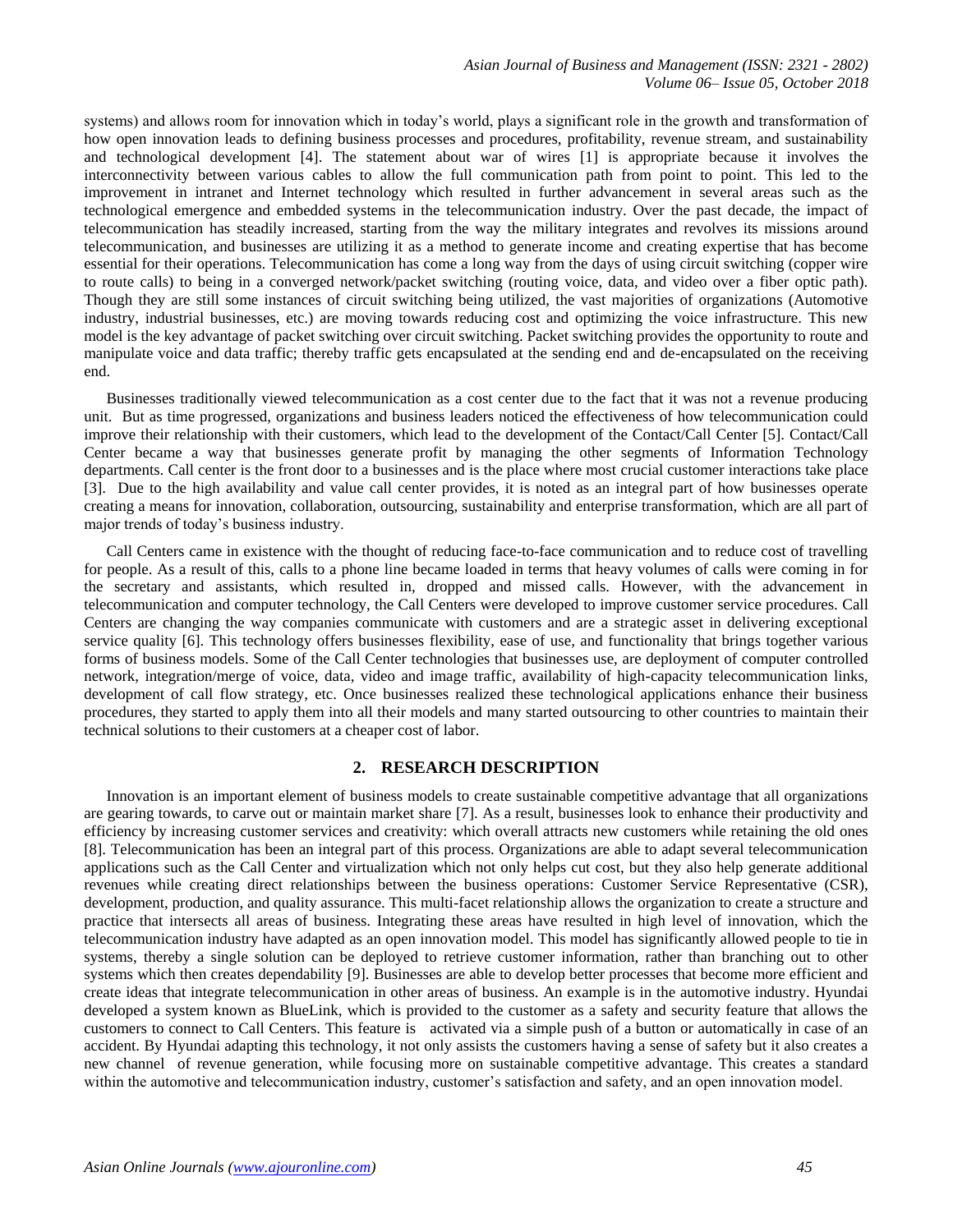systems) and allows room for innovation which in today's world, plays a significant role in the growth and transformation of how open innovation leads to defining business processes and procedures, profitability, revenue stream, and sustainability and technological development [4]. The statement about war of wires [1] is appropriate because it involves the interconnectivity between various cables to allow the full communication path from point to point. This led to the improvement in intranet and Internet technology which resulted in further advancement in several areas such as the technological emergence and embedded systems in the telecommunication industry. Over the past decade, the impact of telecommunication has steadily increased, starting from the way the military integrates and revolves its missions around telecommunication, and businesses are utilizing it as a method to generate income and creating expertise that has become essential for their operations. Telecommunication has come a long way from the days of using circuit switching (copper wire to route calls) to being in a converged network/packet switching (routing voice, data, and video over a fiber optic path). Though they are still some instances of circuit switching being utilized, the vast majorities of organizations (Automotive industry, industrial businesses, etc.) are moving towards reducing cost and optimizing the voice infrastructure. This new model is the key advantage of packet switching over circuit switching. Packet switching provides the opportunity to route and manipulate voice and data traffic; thereby traffic gets encapsulated at the sending end and de-encapsulated on the receiving end.

Businesses traditionally viewed telecommunication as a cost center due to the fact that it was not a revenue producing unit. But as time progressed, organizations and business leaders noticed the effectiveness of how telecommunication could improve their relationship with their customers, which lead to the development of the Contact/Call Center [5]. Contact/Call Center became a way that businesses generate profit by managing the other segments of Information Technology departments. Call center is the front door to a businesses and is the place where most crucial customer interactions take place [3]. Due to the high availability and value call center provides, it is noted as an integral part of how businesses operate creating a means for innovation, collaboration, outsourcing, sustainability and enterprise transformation, which are all part of major trends of today's business industry.

Call Centers came in existence with the thought of reducing face-to-face communication and to reduce cost of travelling for people. As a result of this, calls to a phone line became loaded in terms that heavy volumes of calls were coming in for the secretary and assistants, which resulted in, dropped and missed calls. However, with the advancement in telecommunication and computer technology, the Call Centers were developed to improve customer service procedures. Call Centers are changing the way companies communicate with customers and are a strategic asset in delivering exceptional service quality [6]. This technology offers businesses flexibility, ease of use, and functionality that brings together various forms of business models. Some of the Call Center technologies that businesses use, are deployment of computer controlled network, integration/merge of voice, data, video and image traffic, availability of high-capacity telecommunication links, development of call flow strategy, etc. Once businesses realized these technological applications enhance their business procedures, they started to apply them into all their models and many started outsourcing to other countries to maintain their technical solutions to their customers at a cheaper cost of labor.

#### **2. RESEARCH DESCRIPTION**

Innovation is an important element of business models to create sustainable competitive advantage that all organizations are gearing towards, to carve out or maintain market share [7]. As a result, businesses look to enhance their productivity and efficiency by increasing customer services and creativity: which overall attracts new customers while retaining the old ones [8]. Telecommunication has been an integral part of this process. Organizations are able to adapt several telecommunication applications such as the Call Center and virtualization which not only helps cut cost, but they also help generate additional revenues while creating direct relationships between the business operations: Customer Service Representative (CSR), development, production, and quality assurance. This multi-facet relationship allows the organization to create a structure and practice that intersects all areas of business. Integrating these areas have resulted in high level of innovation, which the telecommunication industry have adapted as an open innovation model. This model has significantly allowed people to tie in systems, thereby a single solution can be deployed to retrieve customer information, rather than branching out to other systems which then creates dependability [9]. Businesses are able to develop better processes that become more efficient and create ideas that integrate telecommunication in other areas of business. An example is in the automotive industry. Hyundai developed a system known as BlueLink, which is provided to the customer as a safety and security feature that allows the customers to connect to Call Centers. This feature is activated via a simple push of a button or automatically in case of an accident. By Hyundai adapting this technology, it not only assists the customers having a sense of safety but it also creates a new channel of revenue generation, while focusing more on sustainable competitive advantage. This creates a standard within the automotive and telecommunication industry, customer's satisfaction and safety, and an open innovation model.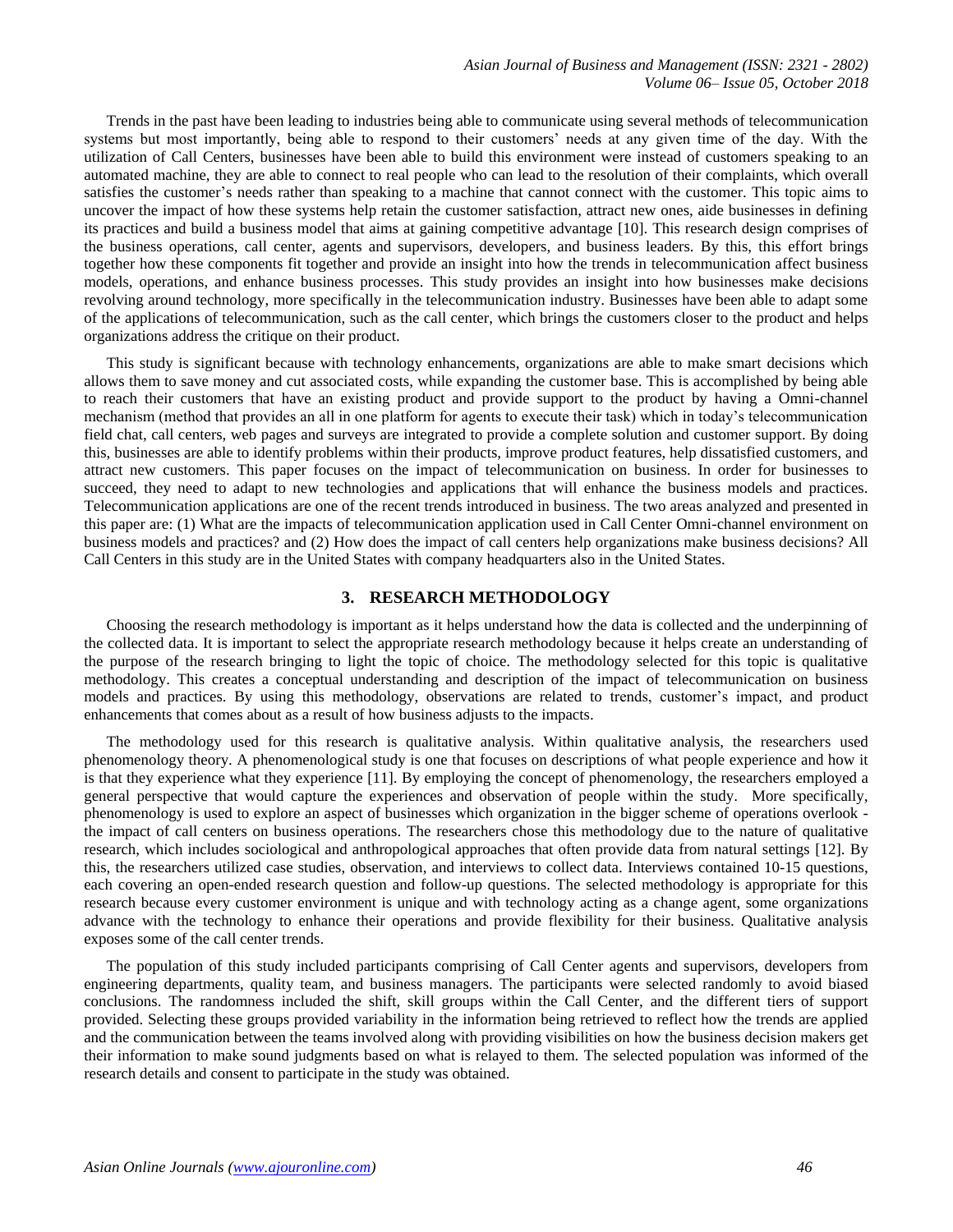Trends in the past have been leading to industries being able to communicate using several methods of telecommunication systems but most importantly, being able to respond to their customers' needs at any given time of the day. With the utilization of Call Centers, businesses have been able to build this environment were instead of customers speaking to an automated machine, they are able to connect to real people who can lead to the resolution of their complaints, which overall satisfies the customer's needs rather than speaking to a machine that cannot connect with the customer. This topic aims to uncover the impact of how these systems help retain the customer satisfaction, attract new ones, aide businesses in defining its practices and build a business model that aims at gaining competitive advantage [10]. This research design comprises of the business operations, call center, agents and supervisors, developers, and business leaders. By this, this effort brings together how these components fit together and provide an insight into how the trends in telecommunication affect business models, operations, and enhance business processes. This study provides an insight into how businesses make decisions revolving around technology, more specifically in the telecommunication industry. Businesses have been able to adapt some of the applications of telecommunication, such as the call center, which brings the customers closer to the product and helps organizations address the critique on their product.

This study is significant because with technology enhancements, organizations are able to make smart decisions which allows them to save money and cut associated costs, while expanding the customer base. This is accomplished by being able to reach their customers that have an existing product and provide support to the product by having a Omni-channel mechanism (method that provides an all in one platform for agents to execute their task) which in today's telecommunication field chat, call centers, web pages and surveys are integrated to provide a complete solution and customer support. By doing this, businesses are able to identify problems within their products, improve product features, help dissatisfied customers, and attract new customers. This paper focuses on the impact of telecommunication on business. In order for businesses to succeed, they need to adapt to new technologies and applications that will enhance the business models and practices. Telecommunication applications are one of the recent trends introduced in business. The two areas analyzed and presented in this paper are: (1) What are the impacts of telecommunication application used in Call Center Omni-channel environment on business models and practices? and (2) How does the impact of call centers help organizations make business decisions? All Call Centers in this study are in the United States with company headquarters also in the United States.

### **3. RESEARCH METHODOLOGY**

Choosing the research methodology is important as it helps understand how the data is collected and the underpinning of the collected data. It is important to select the appropriate research methodology because it helps create an understanding of the purpose of the research bringing to light the topic of choice. The methodology selected for this topic is qualitative methodology. This creates a conceptual understanding and description of the impact of telecommunication on business models and practices. By using this methodology, observations are related to trends, customer's impact, and product enhancements that comes about as a result of how business adjusts to the impacts.

The methodology used for this research is qualitative analysis. Within qualitative analysis, the researchers used phenomenology theory. A phenomenological study is one that focuses on descriptions of what people experience and how it is that they experience what they experience [11]. By employing the concept of phenomenology, the researchers employed a general perspective that would capture the experiences and observation of people within the study. More specifically, phenomenology is used to explore an aspect of businesses which organization in the bigger scheme of operations overlook the impact of call centers on business operations. The researchers chose this methodology due to the nature of qualitative research, which includes sociological and anthropological approaches that often provide data from natural settings [12]. By this, the researchers utilized case studies, observation, and interviews to collect data. Interviews contained 10-15 questions, each covering an open-ended research question and follow-up questions. The selected methodology is appropriate for this research because every customer environment is unique and with technology acting as a change agent, some organizations advance with the technology to enhance their operations and provide flexibility for their business. Qualitative analysis exposes some of the call center trends.

The population of this study included participants comprising of Call Center agents and supervisors, developers from engineering departments, quality team, and business managers. The participants were selected randomly to avoid biased conclusions. The randomness included the shift, skill groups within the Call Center, and the different tiers of support provided. Selecting these groups provided variability in the information being retrieved to reflect how the trends are applied and the communication between the teams involved along with providing visibilities on how the business decision makers get their information to make sound judgments based on what is relayed to them. The selected population was informed of the research details and consent to participate in the study was obtained.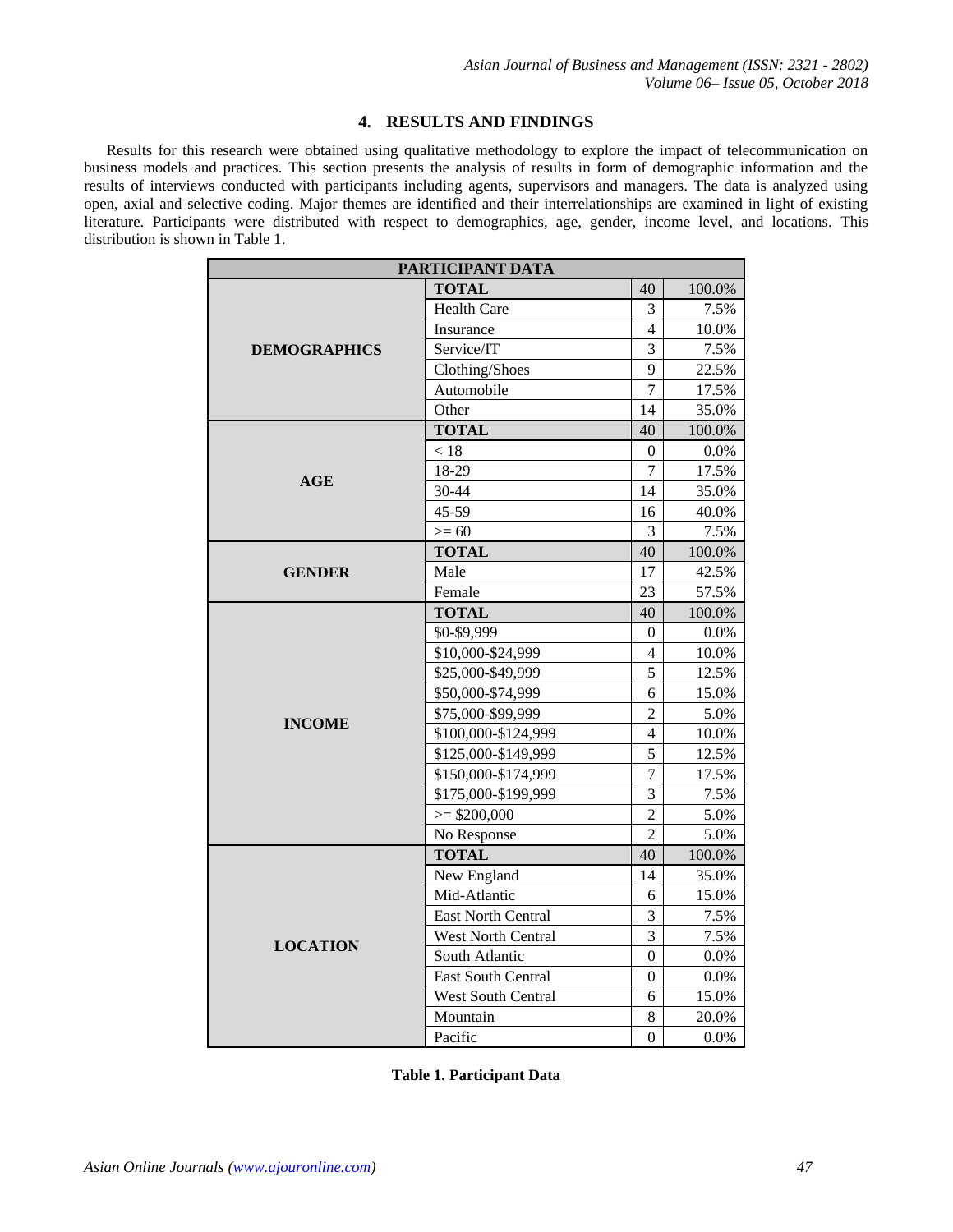## **4. RESULTS AND FINDINGS**

Results for this research were obtained using qualitative methodology to explore the impact of telecommunication on business models and practices. This section presents the analysis of results in form of demographic information and the results of interviews conducted with participants including agents, supervisors and managers. The data is analyzed using open, axial and selective coding. Major themes are identified and their interrelationships are examined in light of existing literature. Participants were distributed with respect to demographics, age, gender, income level, and locations. This distribution is shown in Table 1.

| PARTICIPANT DATA    |                     |                          |         |
|---------------------|---------------------|--------------------------|---------|
| <b>DEMOGRAPHICS</b> | <b>TOTAL</b>        | 40                       | 100.0%  |
|                     | <b>Health Care</b>  | 3                        | 7.5%    |
|                     | Insurance           | $\overline{\mathcal{L}}$ | 10.0%   |
|                     | Service/IT          | 3                        | 7.5%    |
|                     | Clothing/Shoes      | 9                        | 22.5%   |
|                     | Automobile          | 7                        | 17.5%   |
|                     | Other               | 14                       | 35.0%   |
| AGE                 | <b>TOTAL</b>        | 40                       | 100.0%  |
|                     | $<18$               | 0                        | $0.0\%$ |
|                     | 18-29               | 7                        | 17.5%   |
|                     | 30-44               | 14                       | 35.0%   |
|                     | 45-59               | 16                       | 40.0%   |
|                     | $>= 60$             | 3                        | 7.5%    |
| <b>GENDER</b>       | <b>TOTAL</b>        | 40                       | 100.0%  |
|                     | Male                | 17                       | 42.5%   |
|                     | Female              | 23                       | 57.5%   |
| <b>INCOME</b>       | <b>TOTAL</b>        | 40                       | 100.0%  |
|                     | \$0-\$9,999         | $\Omega$                 | 0.0%    |
|                     | \$10,000-\$24,999   | 4                        | 10.0%   |
|                     | \$25,000-\$49,999   | 5                        | 12.5%   |
|                     | \$50,000-\$74,999   | 6                        | 15.0%   |
|                     | \$75,000-\$99,999   | 2                        | 5.0%    |
|                     | \$100,000-\$124,999 | $\overline{\mathcal{L}}$ | 10.0%   |
|                     | \$125,000-\$149,999 | 5                        | 12.5%   |
|                     | \$150,000-\$174,999 | $\overline{7}$           | 17.5%   |
|                     | \$175,000-\$199,999 | $\overline{3}$           | 7.5%    |
|                     | $>=$ \$200,000      | $\overline{2}$           | 5.0%    |
|                     | No Response         | $\overline{2}$           | 5.0%    |
| <b>LOCATION</b>     | <b>TOTAL</b>        | 40                       | 100.0%  |
|                     | New England         | 14                       | 35.0%   |
|                     | Mid-Atlantic        | 6                        | 15.0%   |
|                     | East North Central  | 3                        | 7.5%    |
|                     | West North Central  | 3                        | 7.5%    |
|                     | South Atlantic      | 0                        | 0.0%    |
|                     | East South Central  | $\theta$                 | $0.0\%$ |
|                     | West South Central  | 6                        | 15.0%   |
|                     | Mountain            | 8                        | 20.0%   |
|                     | Pacific             | $\overline{0}$           | 0.0%    |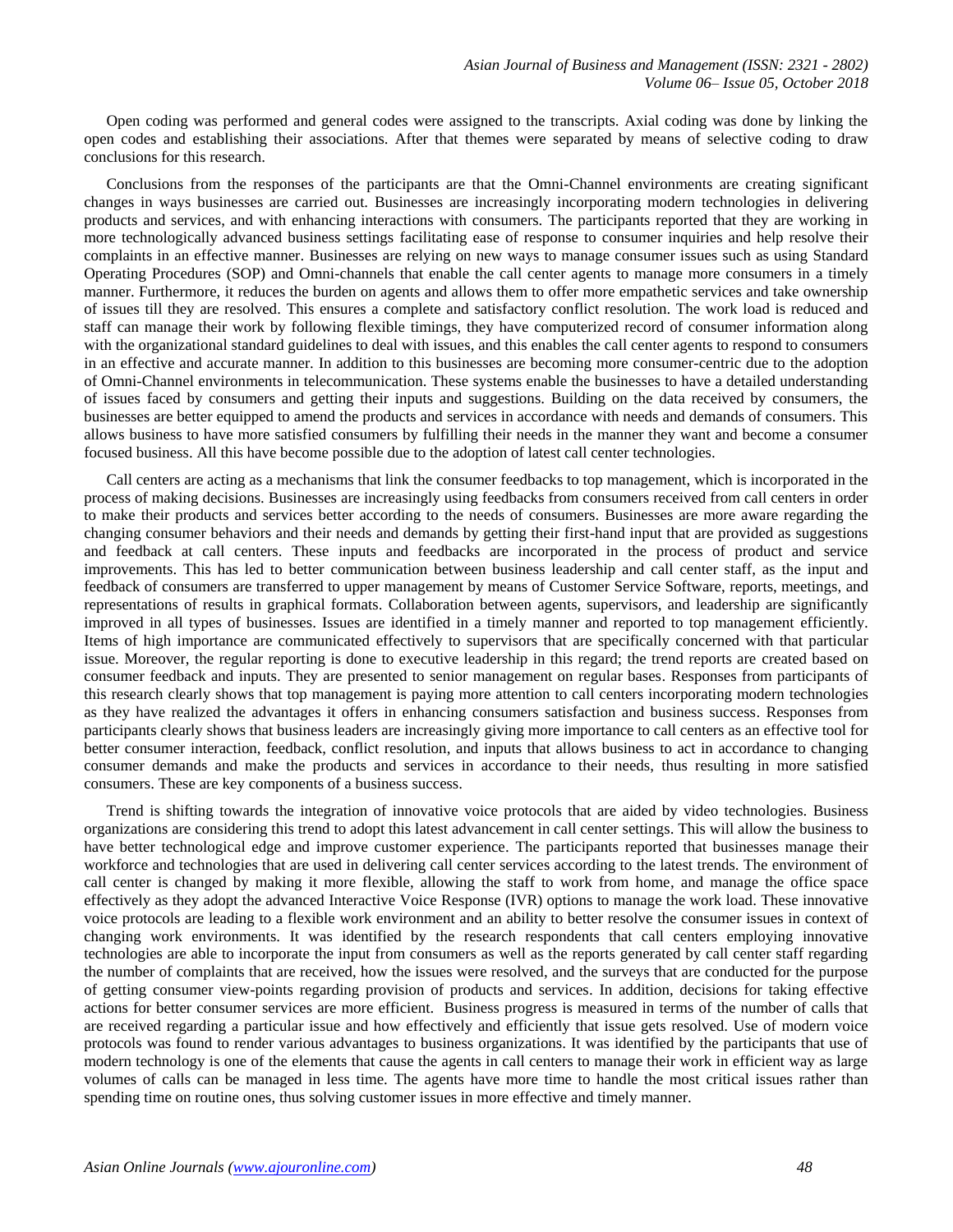Open coding was performed and general codes were assigned to the transcripts. Axial coding was done by linking the open codes and establishing their associations. After that themes were separated by means of selective coding to draw conclusions for this research.

Conclusions from the responses of the participants are that the Omni-Channel environments are creating significant changes in ways businesses are carried out. Businesses are increasingly incorporating modern technologies in delivering products and services, and with enhancing interactions with consumers. The participants reported that they are working in more technologically advanced business settings facilitating ease of response to consumer inquiries and help resolve their complaints in an effective manner. Businesses are relying on new ways to manage consumer issues such as using Standard Operating Procedures (SOP) and Omni-channels that enable the call center agents to manage more consumers in a timely manner. Furthermore, it reduces the burden on agents and allows them to offer more empathetic services and take ownership of issues till they are resolved. This ensures a complete and satisfactory conflict resolution. The work load is reduced and staff can manage their work by following flexible timings, they have computerized record of consumer information along with the organizational standard guidelines to deal with issues, and this enables the call center agents to respond to consumers in an effective and accurate manner. In addition to this businesses are becoming more consumer-centric due to the adoption of Omni-Channel environments in telecommunication. These systems enable the businesses to have a detailed understanding of issues faced by consumers and getting their inputs and suggestions. Building on the data received by consumers, the businesses are better equipped to amend the products and services in accordance with needs and demands of consumers. This allows business to have more satisfied consumers by fulfilling their needs in the manner they want and become a consumer focused business. All this have become possible due to the adoption of latest call center technologies.

Call centers are acting as a mechanisms that link the consumer feedbacks to top management, which is incorporated in the process of making decisions. Businesses are increasingly using feedbacks from consumers received from call centers in order to make their products and services better according to the needs of consumers. Businesses are more aware regarding the changing consumer behaviors and their needs and demands by getting their first-hand input that are provided as suggestions and feedback at call centers. These inputs and feedbacks are incorporated in the process of product and service improvements. This has led to better communication between business leadership and call center staff, as the input and feedback of consumers are transferred to upper management by means of Customer Service Software, reports, meetings, and representations of results in graphical formats. Collaboration between agents, supervisors, and leadership are significantly improved in all types of businesses. Issues are identified in a timely manner and reported to top management efficiently. Items of high importance are communicated effectively to supervisors that are specifically concerned with that particular issue. Moreover, the regular reporting is done to executive leadership in this regard; the trend reports are created based on consumer feedback and inputs. They are presented to senior management on regular bases. Responses from participants of this research clearly shows that top management is paying more attention to call centers incorporating modern technologies as they have realized the advantages it offers in enhancing consumers satisfaction and business success. Responses from participants clearly shows that business leaders are increasingly giving more importance to call centers as an effective tool for better consumer interaction, feedback, conflict resolution, and inputs that allows business to act in accordance to changing consumer demands and make the products and services in accordance to their needs, thus resulting in more satisfied consumers. These are key components of a business success.

Trend is shifting towards the integration of innovative voice protocols that are aided by video technologies. Business organizations are considering this trend to adopt this latest advancement in call center settings. This will allow the business to have better technological edge and improve customer experience. The participants reported that businesses manage their workforce and technologies that are used in delivering call center services according to the latest trends. The environment of call center is changed by making it more flexible, allowing the staff to work from home, and manage the office space effectively as they adopt the advanced Interactive Voice Response (IVR) options to manage the work load. These innovative voice protocols are leading to a flexible work environment and an ability to better resolve the consumer issues in context of changing work environments. It was identified by the research respondents that call centers employing innovative technologies are able to incorporate the input from consumers as well as the reports generated by call center staff regarding the number of complaints that are received, how the issues were resolved, and the surveys that are conducted for the purpose of getting consumer view-points regarding provision of products and services. In addition, decisions for taking effective actions for better consumer services are more efficient. Business progress is measured in terms of the number of calls that are received regarding a particular issue and how effectively and efficiently that issue gets resolved. Use of modern voice protocols was found to render various advantages to business organizations. It was identified by the participants that use of modern technology is one of the elements that cause the agents in call centers to manage their work in efficient way as large volumes of calls can be managed in less time. The agents have more time to handle the most critical issues rather than spending time on routine ones, thus solving customer issues in more effective and timely manner.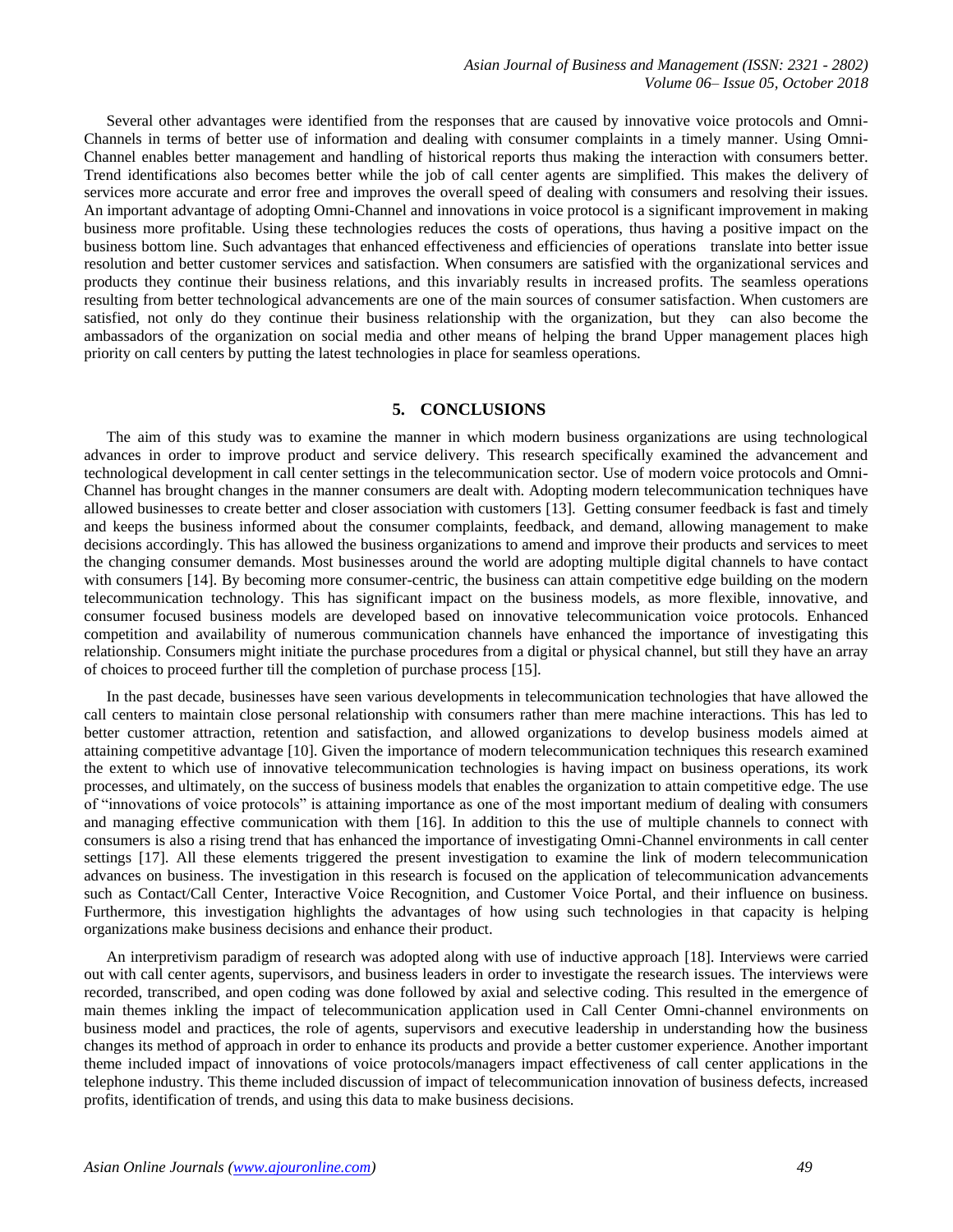Several other advantages were identified from the responses that are caused by innovative voice protocols and Omni-Channels in terms of better use of information and dealing with consumer complaints in a timely manner. Using Omni-Channel enables better management and handling of historical reports thus making the interaction with consumers better. Trend identifications also becomes better while the job of call center agents are simplified. This makes the delivery of services more accurate and error free and improves the overall speed of dealing with consumers and resolving their issues. An important advantage of adopting Omni-Channel and innovations in voice protocol is a significant improvement in making business more profitable. Using these technologies reduces the costs of operations, thus having a positive impact on the business bottom line. Such advantages that enhanced effectiveness and efficiencies of operations translate into better issue resolution and better customer services and satisfaction. When consumers are satisfied with the organizational services and products they continue their business relations, and this invariably results in increased profits. The seamless operations resulting from better technological advancements are one of the main sources of consumer satisfaction. When customers are satisfied, not only do they continue their business relationship with the organization, but they can also become the ambassadors of the organization on social media and other means of helping the brand Upper management places high priority on call centers by putting the latest technologies in place for seamless operations.

## **5. CONCLUSIONS**

The aim of this study was to examine the manner in which modern business organizations are using technological advances in order to improve product and service delivery. This research specifically examined the advancement and technological development in call center settings in the telecommunication sector. Use of modern voice protocols and Omni-Channel has brought changes in the manner consumers are dealt with. Adopting modern telecommunication techniques have allowed businesses to create better and closer association with customers [13]. Getting consumer feedback is fast and timely and keeps the business informed about the consumer complaints, feedback, and demand, allowing management to make decisions accordingly. This has allowed the business organizations to amend and improve their products and services to meet the changing consumer demands. Most businesses around the world are adopting multiple digital channels to have contact with consumers [14]. By becoming more consumer-centric, the business can attain competitive edge building on the modern telecommunication technology. This has significant impact on the business models, as more flexible, innovative, and consumer focused business models are developed based on innovative telecommunication voice protocols. Enhanced competition and availability of numerous communication channels have enhanced the importance of investigating this relationship. Consumers might initiate the purchase procedures from a digital or physical channel, but still they have an array of choices to proceed further till the completion of purchase process [15].

In the past decade, businesses have seen various developments in telecommunication technologies that have allowed the call centers to maintain close personal relationship with consumers rather than mere machine interactions. This has led to better customer attraction, retention and satisfaction, and allowed organizations to develop business models aimed at attaining competitive advantage [10]. Given the importance of modern telecommunication techniques this research examined the extent to which use of innovative telecommunication technologies is having impact on business operations, its work processes, and ultimately, on the success of business models that enables the organization to attain competitive edge. The use of "innovations of voice protocols" is attaining importance as one of the most important medium of dealing with consumers and managing effective communication with them [16]. In addition to this the use of multiple channels to connect with consumers is also a rising trend that has enhanced the importance of investigating Omni-Channel environments in call center settings [17]. All these elements triggered the present investigation to examine the link of modern telecommunication advances on business. The investigation in this research is focused on the application of telecommunication advancements such as Contact/Call Center, Interactive Voice Recognition, and Customer Voice Portal, and their influence on business. Furthermore, this investigation highlights the advantages of how using such technologies in that capacity is helping organizations make business decisions and enhance their product.

An interpretivism paradigm of research was adopted along with use of inductive approach [18]. Interviews were carried out with call center agents, supervisors, and business leaders in order to investigate the research issues. The interviews were recorded, transcribed, and open coding was done followed by axial and selective coding. This resulted in the emergence of main themes inkling the impact of telecommunication application used in Call Center Omni-channel environments on business model and practices, the role of agents, supervisors and executive leadership in understanding how the business changes its method of approach in order to enhance its products and provide a better customer experience. Another important theme included impact of innovations of voice protocols/managers impact effectiveness of call center applications in the telephone industry. This theme included discussion of impact of telecommunication innovation of business defects, increased profits, identification of trends, and using this data to make business decisions.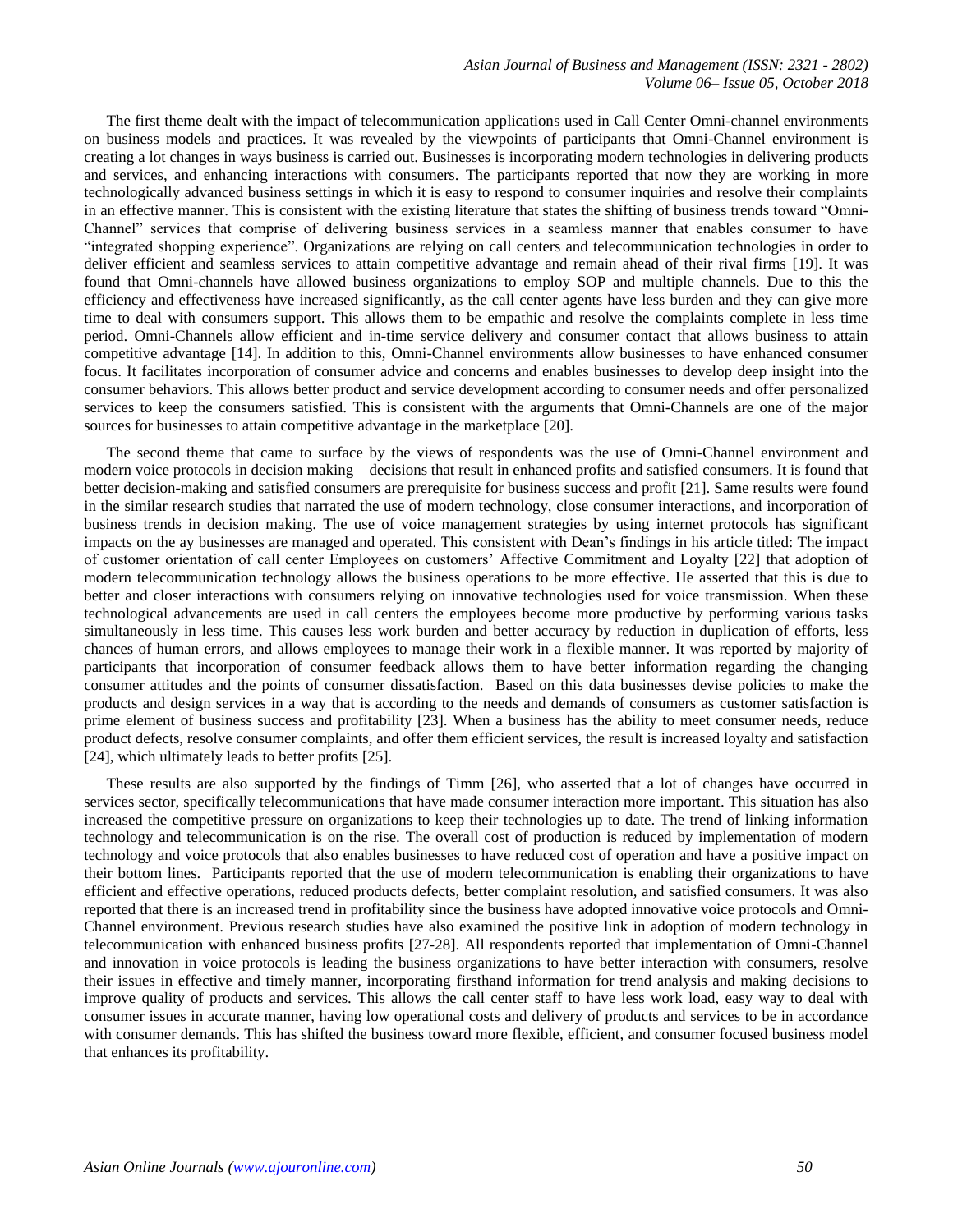*Asian Journal of Business and Management (ISSN: 2321 - 2802) Volume 06– Issue 05, October 2018*

The first theme dealt with the impact of telecommunication applications used in Call Center Omni-channel environments on business models and practices. It was revealed by the viewpoints of participants that Omni-Channel environment is creating a lot changes in ways business is carried out. Businesses is incorporating modern technologies in delivering products and services, and enhancing interactions with consumers. The participants reported that now they are working in more technologically advanced business settings in which it is easy to respond to consumer inquiries and resolve their complaints in an effective manner. This is consistent with the existing literature that states the shifting of business trends toward "Omni-Channel" services that comprise of delivering business services in a seamless manner that enables consumer to have "integrated shopping experience". Organizations are relying on call centers and telecommunication technologies in order to deliver efficient and seamless services to attain competitive advantage and remain ahead of their rival firms [19]. It was found that Omni-channels have allowed business organizations to employ SOP and multiple channels. Due to this the efficiency and effectiveness have increased significantly, as the call center agents have less burden and they can give more time to deal with consumers support. This allows them to be empathic and resolve the complaints complete in less time period. Omni-Channels allow efficient and in-time service delivery and consumer contact that allows business to attain competitive advantage [14]. In addition to this, Omni-Channel environments allow businesses to have enhanced consumer focus. It facilitates incorporation of consumer advice and concerns and enables businesses to develop deep insight into the consumer behaviors. This allows better product and service development according to consumer needs and offer personalized services to keep the consumers satisfied. This is consistent with the arguments that Omni-Channels are one of the major sources for businesses to attain competitive advantage in the marketplace [20].

The second theme that came to surface by the views of respondents was the use of Omni-Channel environment and modern voice protocols in decision making – decisions that result in enhanced profits and satisfied consumers. It is found that better decision-making and satisfied consumers are prerequisite for business success and profit [21]. Same results were found in the similar research studies that narrated the use of modern technology, close consumer interactions, and incorporation of business trends in decision making. The use of voice management strategies by using internet protocols has significant impacts on the ay businesses are managed and operated. This consistent with Dean's findings in his article titled: The impact of customer orientation of call center Employees on customers' Affective Commitment and Loyalty [22] that adoption of modern telecommunication technology allows the business operations to be more effective. He asserted that this is due to better and closer interactions with consumers relying on innovative technologies used for voice transmission. When these technological advancements are used in call centers the employees become more productive by performing various tasks simultaneously in less time. This causes less work burden and better accuracy by reduction in duplication of efforts, less chances of human errors, and allows employees to manage their work in a flexible manner. It was reported by majority of participants that incorporation of consumer feedback allows them to have better information regarding the changing consumer attitudes and the points of consumer dissatisfaction. Based on this data businesses devise policies to make the products and design services in a way that is according to the needs and demands of consumers as customer satisfaction is prime element of business success and profitability [23]. When a business has the ability to meet consumer needs, reduce product defects, resolve consumer complaints, and offer them efficient services, the result is increased loyalty and satisfaction [24], which ultimately leads to better profits [25].

These results are also supported by the findings of Timm [26], who asserted that a lot of changes have occurred in services sector, specifically telecommunications that have made consumer interaction more important. This situation has also increased the competitive pressure on organizations to keep their technologies up to date. The trend of linking information technology and telecommunication is on the rise. The overall cost of production is reduced by implementation of modern technology and voice protocols that also enables businesses to have reduced cost of operation and have a positive impact on their bottom lines. Participants reported that the use of modern telecommunication is enabling their organizations to have efficient and effective operations, reduced products defects, better complaint resolution, and satisfied consumers. It was also reported that there is an increased trend in profitability since the business have adopted innovative voice protocols and Omni-Channel environment. Previous research studies have also examined the positive link in adoption of modern technology in telecommunication with enhanced business profits [27-28]. All respondents reported that implementation of Omni-Channel and innovation in voice protocols is leading the business organizations to have better interaction with consumers, resolve their issues in effective and timely manner, incorporating firsthand information for trend analysis and making decisions to improve quality of products and services. This allows the call center staff to have less work load, easy way to deal with consumer issues in accurate manner, having low operational costs and delivery of products and services to be in accordance with consumer demands. This has shifted the business toward more flexible, efficient, and consumer focused business model that enhances its profitability.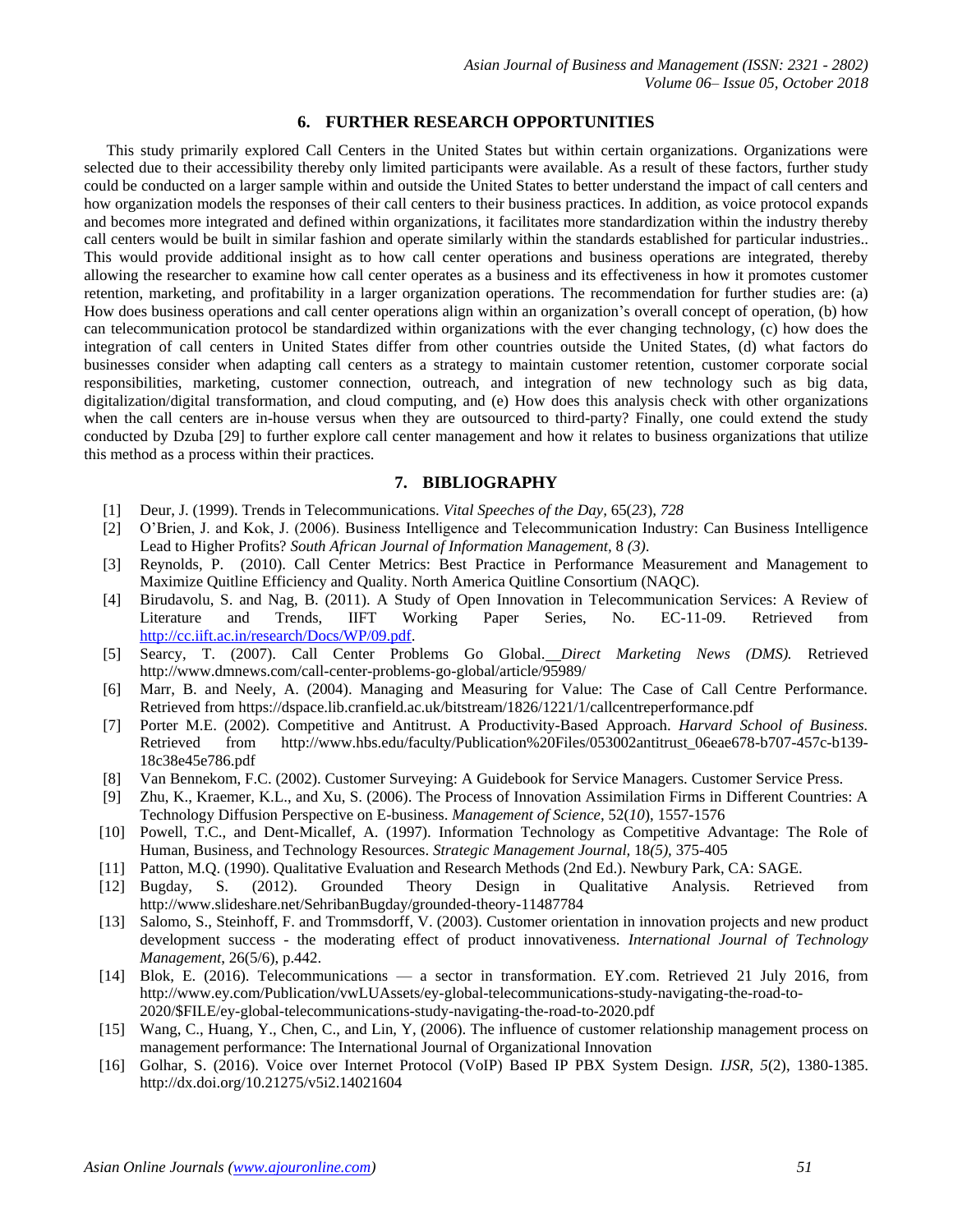### **6. FURTHER RESEARCH OPPORTUNITIES**

This study primarily explored Call Centers in the United States but within certain organizations. Organizations were selected due to their accessibility thereby only limited participants were available. As a result of these factors, further study could be conducted on a larger sample within and outside the United States to better understand the impact of call centers and how organization models the responses of their call centers to their business practices. In addition, as voice protocol expands and becomes more integrated and defined within organizations, it facilitates more standardization within the industry thereby call centers would be built in similar fashion and operate similarly within the standards established for particular industries.. This would provide additional insight as to how call center operations and business operations are integrated, thereby allowing the researcher to examine how call center operates as a business and its effectiveness in how it promotes customer retention, marketing, and profitability in a larger organization operations. The recommendation for further studies are: (a) How does business operations and call center operations align within an organization's overall concept of operation, (b) how can telecommunication protocol be standardized within organizations with the ever changing technology, (c) how does the integration of call centers in United States differ from other countries outside the United States, (d) what factors do businesses consider when adapting call centers as a strategy to maintain customer retention, customer corporate social responsibilities, marketing, customer connection, outreach, and integration of new technology such as big data, digitalization/digital transformation, and cloud computing, and (e) How does this analysis check with other organizations when the call centers are in-house versus when they are outsourced to third-party? Finally, one could extend the study conducted by Dzuba [29] to further explore call center management and how it relates to business organizations that utilize this method as a process within their practices.

## **7. BIBLIOGRAPHY**

- [1] Deur, J. (1999). Trends in Telecommunications. *Vital Speeches of the Day,* 65(*23*)*, 728*
- [2] O'Brien, J. and Kok, J. (2006). Business Intelligence and Telecommunication Industry: Can Business Intelligence Lead to Higher Profits? *South African Journal of Information Management,* 8 *(3)*.
- [3] Reynolds, P. (2010). Call Center Metrics: Best Practice in Performance Measurement and Management to Maximize Quitline Efficiency and Quality. North America Quitline Consortium (NAQC).
- [4] Birudavolu, S. and Nag, B. (2011). A Study of Open Innovation in Telecommunication Services: A Review of Literature and Trends, IIFT Working Paper Series, No. EC-11-09. Retrieved from [http://cc.iift.ac.in/research/Docs/WP/09.pdf.](http://cc.iift.ac.in/research/Docs/WP/09.pdf)
- [5] Searcy, T. (2007). Call Center Problems Go Global. *Direct Marketing News (DMS).* Retrieved http://www.dmnews.com/call-center-problems-go-global/article/95989/
- [6] Marr, B. and Neely, A. (2004). Managing and Measuring for Value: The Case of Call Centre Performance. Retrieved from https://dspace.lib.cranfield.ac.uk/bitstream/1826/1221/1/callcentreperformance.pdf
- [7] Porter M.E. (2002). Competitive and Antitrust. A Productivity-Based Approach. *Harvard School of Business.* Retrieved from http://www.hbs.edu/faculty/Publication%20Files/053002antitrust\_06eae678-b707-457c-b139- 18c38e45e786.pdf
- [8] Van Bennekom, F.C. (2002). Customer Surveying: A Guidebook for Service Managers. Customer Service Press.
- [9] Zhu, K., Kraemer, K.L., and Xu, S. (2006). The Process of Innovation Assimilation Firms in Different Countries: A Technology Diffusion Perspective on E-business. *Management of Science*, 52(*10*), 1557-1576
- [10] Powell, T.C., and Dent-Micallef, A. (1997). Information Technology as Competitive Advantage: The Role of Human, Business, and Technology Resources. *Strategic Management Journal,* 18*(5),* 375-405
- [11] Patton, M.Q. (1990). Qualitative Evaluation and Research Methods (2nd Ed.). Newbury Park, CA: SAGE.
- [12] Bugday, S. (2012). Grounded Theory Design in Qualitative Analysis. Retrieved from http://www.slideshare.net/SehribanBugday/grounded-theory-11487784
- [13] Salomo, S., Steinhoff, F. and Trommsdorff, V. (2003). Customer orientation in innovation projects and new product development success - the moderating effect of product innovativeness. *International Journal of Technology Management*, 26(5/6), p.442.
- [14] Blok, E. (2016). Telecommunications a sector in transformation. EY.com. Retrieved 21 July 2016, from http://www.ey.com/Publication/vwLUAssets/ey-global-telecommunications-study-navigating-the-road-to-2020/\$FILE/ey-global-telecommunications-study-navigating-the-road-to-2020.pdf
- [15] Wang, C., Huang, Y., Chen, C., and Lin, Y, (2006). The influence of customer relationship management process on management performance: The International Journal of Organizational Innovation
- [16] Golhar, S. (2016). Voice over Internet Protocol (VoIP) Based IP PBX System Design. *IJSR*, *5*(2), 1380-1385. http://dx.doi.org/10.21275/v5i2.14021604